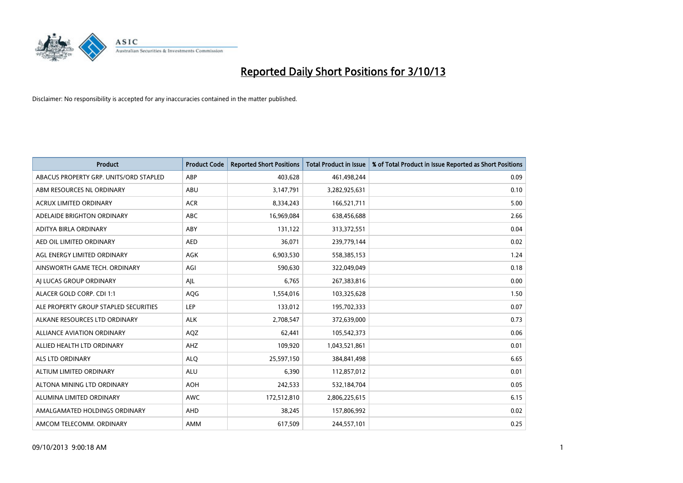

| <b>Product</b>                         | <b>Product Code</b> | <b>Reported Short Positions</b> | <b>Total Product in Issue</b> | % of Total Product in Issue Reported as Short Positions |
|----------------------------------------|---------------------|---------------------------------|-------------------------------|---------------------------------------------------------|
| ABACUS PROPERTY GRP. UNITS/ORD STAPLED | ABP                 | 403,628                         | 461,498,244                   | 0.09                                                    |
| ABM RESOURCES NL ORDINARY              | ABU                 | 3,147,791                       | 3,282,925,631                 | 0.10                                                    |
| <b>ACRUX LIMITED ORDINARY</b>          | <b>ACR</b>          | 8,334,243                       | 166,521,711                   | 5.00                                                    |
| ADELAIDE BRIGHTON ORDINARY             | <b>ABC</b>          | 16.969.084                      | 638,456,688                   | 2.66                                                    |
| ADITYA BIRLA ORDINARY                  | ABY                 | 131,122                         | 313,372,551                   | 0.04                                                    |
| AED OIL LIMITED ORDINARY               | <b>AED</b>          | 36,071                          | 239,779,144                   | 0.02                                                    |
| AGL ENERGY LIMITED ORDINARY            | AGK                 | 6,903,530                       | 558,385,153                   | 1.24                                                    |
| AINSWORTH GAME TECH. ORDINARY          | AGI                 | 590,630                         | 322,049,049                   | 0.18                                                    |
| AI LUCAS GROUP ORDINARY                | AJL                 | 6,765                           | 267,383,816                   | 0.00                                                    |
| ALACER GOLD CORP. CDI 1:1              | AQG                 | 1,554,016                       | 103,325,628                   | 1.50                                                    |
| ALE PROPERTY GROUP STAPLED SECURITIES  | <b>LEP</b>          | 133,012                         | 195,702,333                   | 0.07                                                    |
| ALKANE RESOURCES LTD ORDINARY          | <b>ALK</b>          | 2,708,547                       | 372,639,000                   | 0.73                                                    |
| <b>ALLIANCE AVIATION ORDINARY</b>      | AQZ                 | 62,441                          | 105,542,373                   | 0.06                                                    |
| ALLIED HEALTH LTD ORDINARY             | AHZ                 | 109,920                         | 1,043,521,861                 | 0.01                                                    |
| ALS LTD ORDINARY                       | <b>ALQ</b>          | 25,597,150                      | 384, 841, 498                 | 6.65                                                    |
| ALTIUM LIMITED ORDINARY                | <b>ALU</b>          | 6,390                           | 112,857,012                   | 0.01                                                    |
| ALTONA MINING LTD ORDINARY             | <b>AOH</b>          | 242,533                         | 532,184,704                   | 0.05                                                    |
| ALUMINA LIMITED ORDINARY               | <b>AWC</b>          | 172,512,810                     | 2,806,225,615                 | 6.15                                                    |
| AMALGAMATED HOLDINGS ORDINARY          | AHD                 | 38,245                          | 157,806,992                   | 0.02                                                    |
| AMCOM TELECOMM. ORDINARY               | AMM                 | 617,509                         | 244,557,101                   | 0.25                                                    |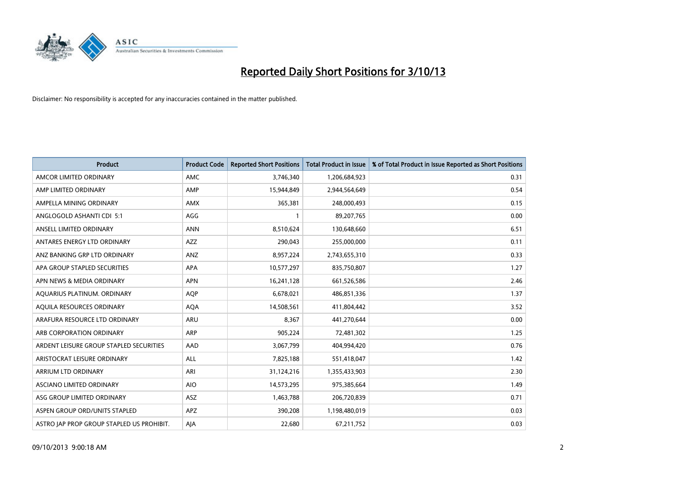

| <b>Product</b>                            | <b>Product Code</b> | <b>Reported Short Positions</b> | <b>Total Product in Issue</b> | % of Total Product in Issue Reported as Short Positions |
|-------------------------------------------|---------------------|---------------------------------|-------------------------------|---------------------------------------------------------|
| AMCOR LIMITED ORDINARY                    | AMC                 | 3,746,340                       | 1,206,684,923                 | 0.31                                                    |
| AMP LIMITED ORDINARY                      | AMP                 | 15,944,849                      | 2,944,564,649                 | 0.54                                                    |
| AMPELLA MINING ORDINARY                   | <b>AMX</b>          | 365,381                         | 248,000,493                   | 0.15                                                    |
| ANGLOGOLD ASHANTI CDI 5:1                 | AGG                 | 1                               | 89,207,765                    | 0.00                                                    |
| ANSELL LIMITED ORDINARY                   | <b>ANN</b>          | 8,510,624                       | 130,648,660                   | 6.51                                                    |
| ANTARES ENERGY LTD ORDINARY               | AZZ                 | 290,043                         | 255,000,000                   | 0.11                                                    |
| ANZ BANKING GRP LTD ORDINARY              | ANZ                 | 8,957,224                       | 2,743,655,310                 | 0.33                                                    |
| APA GROUP STAPLED SECURITIES              | <b>APA</b>          | 10,577,297                      | 835,750,807                   | 1.27                                                    |
| APN NEWS & MEDIA ORDINARY                 | <b>APN</b>          | 16,241,128                      | 661,526,586                   | 2.46                                                    |
| AOUARIUS PLATINUM. ORDINARY               | <b>AOP</b>          | 6,678,021                       | 486,851,336                   | 1.37                                                    |
| AQUILA RESOURCES ORDINARY                 | <b>AQA</b>          | 14,508,561                      | 411,804,442                   | 3.52                                                    |
| ARAFURA RESOURCE LTD ORDINARY             | ARU                 | 8,367                           | 441,270,644                   | 0.00                                                    |
| ARB CORPORATION ORDINARY                  | <b>ARP</b>          | 905,224                         | 72,481,302                    | 1.25                                                    |
| ARDENT LEISURE GROUP STAPLED SECURITIES   | AAD                 | 3,067,799                       | 404,994,420                   | 0.76                                                    |
| ARISTOCRAT LEISURE ORDINARY               | ALL                 | 7,825,188                       | 551,418,047                   | 1.42                                                    |
| ARRIUM LTD ORDINARY                       | ARI                 | 31,124,216                      | 1,355,433,903                 | 2.30                                                    |
| ASCIANO LIMITED ORDINARY                  | <b>AIO</b>          | 14,573,295                      | 975,385,664                   | 1.49                                                    |
| ASG GROUP LIMITED ORDINARY                | ASZ                 | 1,463,788                       | 206,720,839                   | 0.71                                                    |
| ASPEN GROUP ORD/UNITS STAPLED             | <b>APZ</b>          | 390,208                         | 1,198,480,019                 | 0.03                                                    |
| ASTRO JAP PROP GROUP STAPLED US PROHIBIT. | AJA                 | 22.680                          | 67,211,752                    | 0.03                                                    |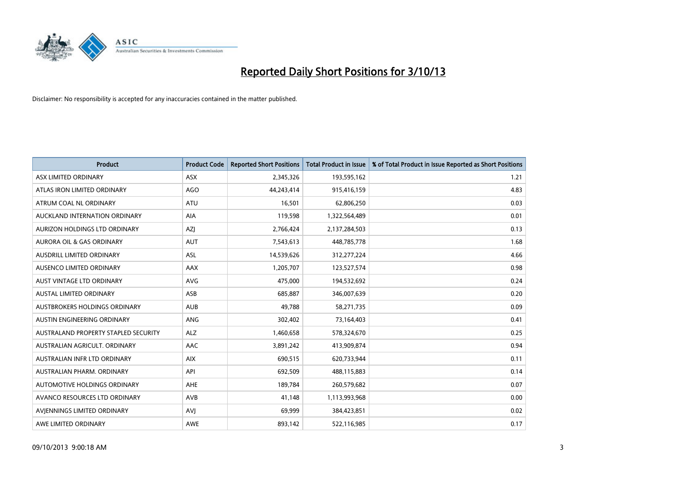

| <b>Product</b>                       | <b>Product Code</b> | <b>Reported Short Positions</b> | <b>Total Product in Issue</b> | % of Total Product in Issue Reported as Short Positions |
|--------------------------------------|---------------------|---------------------------------|-------------------------------|---------------------------------------------------------|
| ASX LIMITED ORDINARY                 | ASX                 | 2,345,326                       | 193,595,162                   | 1.21                                                    |
| ATLAS IRON LIMITED ORDINARY          | <b>AGO</b>          | 44,243,414                      | 915,416,159                   | 4.83                                                    |
| ATRUM COAL NL ORDINARY               | <b>ATU</b>          | 16,501                          | 62,806,250                    | 0.03                                                    |
| AUCKLAND INTERNATION ORDINARY        | <b>AIA</b>          | 119,598                         | 1,322,564,489                 | 0.01                                                    |
| AURIZON HOLDINGS LTD ORDINARY        | AZJ                 | 2,766,424                       | 2,137,284,503                 | 0.13                                                    |
| <b>AURORA OIL &amp; GAS ORDINARY</b> | AUT                 | 7,543,613                       | 448,785,778                   | 1.68                                                    |
| AUSDRILL LIMITED ORDINARY            | ASL                 | 14,539,626                      | 312,277,224                   | 4.66                                                    |
| AUSENCO LIMITED ORDINARY             | AAX                 | 1,205,707                       | 123,527,574                   | 0.98                                                    |
| <b>AUST VINTAGE LTD ORDINARY</b>     | <b>AVG</b>          | 475,000                         | 194,532,692                   | 0.24                                                    |
| <b>AUSTAL LIMITED ORDINARY</b>       | ASB                 | 685,887                         | 346,007,639                   | 0.20                                                    |
| AUSTBROKERS HOLDINGS ORDINARY        | <b>AUB</b>          | 49,788                          | 58,271,735                    | 0.09                                                    |
| AUSTIN ENGINEERING ORDINARY          | ANG                 | 302,402                         | 73,164,403                    | 0.41                                                    |
| AUSTRALAND PROPERTY STAPLED SECURITY | <b>ALZ</b>          | 1,460,658                       | 578,324,670                   | 0.25                                                    |
| AUSTRALIAN AGRICULT, ORDINARY        | AAC                 | 3,891,242                       | 413,909,874                   | 0.94                                                    |
| AUSTRALIAN INFR LTD ORDINARY         | <b>AIX</b>          | 690,515                         | 620,733,944                   | 0.11                                                    |
| AUSTRALIAN PHARM. ORDINARY           | API                 | 692,509                         | 488,115,883                   | 0.14                                                    |
| AUTOMOTIVE HOLDINGS ORDINARY         | AHE                 | 189,784                         | 260,579,682                   | 0.07                                                    |
| AVANCO RESOURCES LTD ORDINARY        | AVB                 | 41,148                          | 1,113,993,968                 | 0.00                                                    |
| AVIENNINGS LIMITED ORDINARY          | <b>AVI</b>          | 69,999                          | 384,423,851                   | 0.02                                                    |
| AWE LIMITED ORDINARY                 | <b>AWE</b>          | 893,142                         | 522,116,985                   | 0.17                                                    |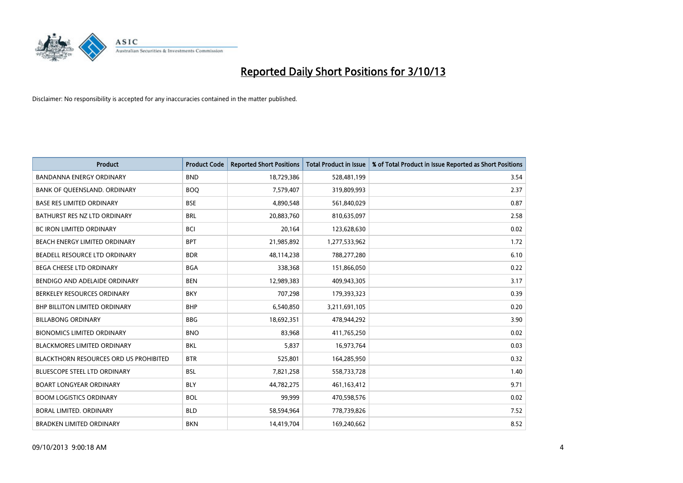

| <b>Product</b>                                | <b>Product Code</b> | <b>Reported Short Positions</b> | <b>Total Product in Issue</b> | % of Total Product in Issue Reported as Short Positions |
|-----------------------------------------------|---------------------|---------------------------------|-------------------------------|---------------------------------------------------------|
| <b>BANDANNA ENERGY ORDINARY</b>               | <b>BND</b>          | 18,729,386                      | 528,481,199                   | 3.54                                                    |
| BANK OF QUEENSLAND. ORDINARY                  | <b>BOO</b>          | 7,579,407                       | 319,809,993                   | 2.37                                                    |
| <b>BASE RES LIMITED ORDINARY</b>              | <b>BSE</b>          | 4,890,548                       | 561,840,029                   | 0.87                                                    |
| BATHURST RES NZ LTD ORDINARY                  | <b>BRL</b>          | 20,883,760                      | 810,635,097                   | 2.58                                                    |
| <b>BC IRON LIMITED ORDINARY</b>               | <b>BCI</b>          | 20,164                          | 123,628,630                   | 0.02                                                    |
| BEACH ENERGY LIMITED ORDINARY                 | <b>BPT</b>          | 21,985,892                      | 1,277,533,962                 | 1.72                                                    |
| BEADELL RESOURCE LTD ORDINARY                 | <b>BDR</b>          | 48,114,238                      | 788,277,280                   | 6.10                                                    |
| BEGA CHEESE LTD ORDINARY                      | <b>BGA</b>          | 338,368                         | 151,866,050                   | 0.22                                                    |
| BENDIGO AND ADELAIDE ORDINARY                 | <b>BEN</b>          | 12,989,383                      | 409,943,305                   | 3.17                                                    |
| BERKELEY RESOURCES ORDINARY                   | <b>BKY</b>          | 707,298                         | 179,393,323                   | 0.39                                                    |
| BHP BILLITON LIMITED ORDINARY                 | <b>BHP</b>          | 6,540,850                       | 3,211,691,105                 | 0.20                                                    |
| <b>BILLABONG ORDINARY</b>                     | <b>BBG</b>          | 18,692,351                      | 478,944,292                   | 3.90                                                    |
| <b>BIONOMICS LIMITED ORDINARY</b>             | <b>BNO</b>          | 83,968                          | 411,765,250                   | 0.02                                                    |
| <b>BLACKMORES LIMITED ORDINARY</b>            | <b>BKL</b>          | 5,837                           | 16,973,764                    | 0.03                                                    |
| <b>BLACKTHORN RESOURCES ORD US PROHIBITED</b> | <b>BTR</b>          | 525,801                         | 164,285,950                   | 0.32                                                    |
| BLUESCOPE STEEL LTD ORDINARY                  | <b>BSL</b>          | 7,821,258                       | 558,733,728                   | 1.40                                                    |
| <b>BOART LONGYEAR ORDINARY</b>                | <b>BLY</b>          | 44,782,275                      | 461,163,412                   | 9.71                                                    |
| <b>BOOM LOGISTICS ORDINARY</b>                | <b>BOL</b>          | 99,999                          | 470,598,576                   | 0.02                                                    |
| <b>BORAL LIMITED, ORDINARY</b>                | <b>BLD</b>          | 58,594,964                      | 778,739,826                   | 7.52                                                    |
| <b>BRADKEN LIMITED ORDINARY</b>               | <b>BKN</b>          | 14,419,704                      | 169,240,662                   | 8.52                                                    |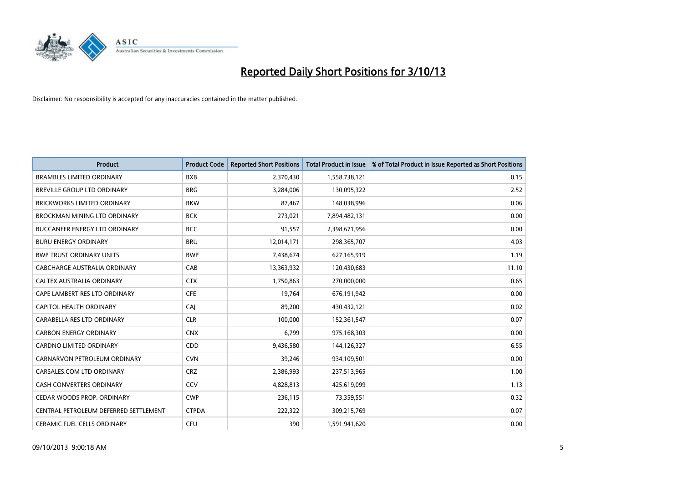

| <b>Product</b>                        | <b>Product Code</b> | <b>Reported Short Positions</b> | <b>Total Product in Issue</b> | % of Total Product in Issue Reported as Short Positions |
|---------------------------------------|---------------------|---------------------------------|-------------------------------|---------------------------------------------------------|
| <b>BRAMBLES LIMITED ORDINARY</b>      | <b>BXB</b>          | 2,370,430                       | 1,558,738,121                 | 0.15                                                    |
| BREVILLE GROUP LTD ORDINARY           | <b>BRG</b>          | 3,284,006                       | 130,095,322                   | 2.52                                                    |
| <b>BRICKWORKS LIMITED ORDINARY</b>    | <b>BKW</b>          | 87,467                          | 148,038,996                   | 0.06                                                    |
| <b>BROCKMAN MINING LTD ORDINARY</b>   | <b>BCK</b>          | 273,021                         | 7,894,482,131                 | 0.00                                                    |
| <b>BUCCANEER ENERGY LTD ORDINARY</b>  | <b>BCC</b>          | 91,557                          | 2,398,671,956                 | 0.00                                                    |
| <b>BURU ENERGY ORDINARY</b>           | <b>BRU</b>          | 12,014,171                      | 298,365,707                   | 4.03                                                    |
| <b>BWP TRUST ORDINARY UNITS</b>       | <b>BWP</b>          | 7,438,674                       | 627,165,919                   | 1.19                                                    |
| CABCHARGE AUSTRALIA ORDINARY          | CAB                 | 13,363,932                      | 120,430,683                   | 11.10                                                   |
| CALTEX AUSTRALIA ORDINARY             | <b>CTX</b>          | 1,750,863                       | 270,000,000                   | 0.65                                                    |
| CAPE LAMBERT RES LTD ORDINARY         | <b>CFE</b>          | 19,764                          | 676,191,942                   | 0.00                                                    |
| CAPITOL HEALTH ORDINARY               | CAJ                 | 89,200                          | 430,432,121                   | 0.02                                                    |
| CARABELLA RES LTD ORDINARY            | <b>CLR</b>          | 100,000                         | 152,361,547                   | 0.07                                                    |
| <b>CARBON ENERGY ORDINARY</b>         | <b>CNX</b>          | 6,799                           | 975,168,303                   | 0.00                                                    |
| <b>CARDNO LIMITED ORDINARY</b>        | CDD                 | 9,436,580                       | 144,126,327                   | 6.55                                                    |
| CARNARVON PETROLEUM ORDINARY          | <b>CVN</b>          | 39,246                          | 934,109,501                   | 0.00                                                    |
| CARSALES.COM LTD ORDINARY             | <b>CRZ</b>          | 2,386,993                       | 237,513,965                   | 1.00                                                    |
| CASH CONVERTERS ORDINARY              | CCV                 | 4,828,813                       | 425,619,099                   | 1.13                                                    |
| CEDAR WOODS PROP. ORDINARY            | <b>CWP</b>          | 236,115                         | 73,359,551                    | 0.32                                                    |
| CENTRAL PETROLEUM DEFERRED SETTLEMENT | <b>CTPDA</b>        | 222,322                         | 309,215,769                   | 0.07                                                    |
| <b>CERAMIC FUEL CELLS ORDINARY</b>    | <b>CFU</b>          | 390                             | 1,591,941,620                 | 0.00                                                    |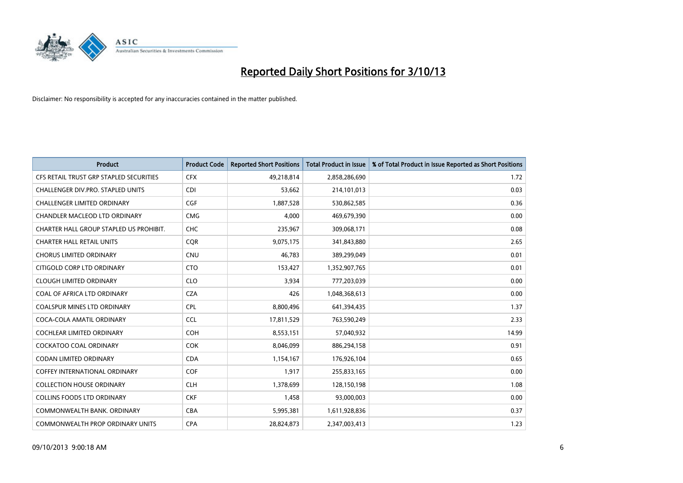

| <b>Product</b>                          | <b>Product Code</b> | <b>Reported Short Positions</b> | <b>Total Product in Issue</b> | % of Total Product in Issue Reported as Short Positions |
|-----------------------------------------|---------------------|---------------------------------|-------------------------------|---------------------------------------------------------|
| CFS RETAIL TRUST GRP STAPLED SECURITIES | <b>CFX</b>          | 49,218,814                      | 2,858,286,690                 | 1.72                                                    |
| CHALLENGER DIV.PRO. STAPLED UNITS       | <b>CDI</b>          | 53,662                          | 214,101,013                   | 0.03                                                    |
| <b>CHALLENGER LIMITED ORDINARY</b>      | <b>CGF</b>          | 1,887,528                       | 530,862,585                   | 0.36                                                    |
| CHANDLER MACLEOD LTD ORDINARY           | <b>CMG</b>          | 4,000                           | 469,679,390                   | 0.00                                                    |
| CHARTER HALL GROUP STAPLED US PROHIBIT. | <b>CHC</b>          | 235,967                         | 309,068,171                   | 0.08                                                    |
| <b>CHARTER HALL RETAIL UNITS</b>        | CQR                 | 9,075,175                       | 341,843,880                   | 2.65                                                    |
| <b>CHORUS LIMITED ORDINARY</b>          | <b>CNU</b>          | 46.783                          | 389,299,049                   | 0.01                                                    |
| CITIGOLD CORP LTD ORDINARY              | <b>CTO</b>          | 153,427                         | 1,352,907,765                 | 0.01                                                    |
| <b>CLOUGH LIMITED ORDINARY</b>          | <b>CLO</b>          | 3,934                           | 777,203,039                   | 0.00                                                    |
| COAL OF AFRICA LTD ORDINARY             | <b>CZA</b>          | 426                             | 1,048,368,613                 | 0.00                                                    |
| <b>COALSPUR MINES LTD ORDINARY</b>      | <b>CPL</b>          | 8,800,496                       | 641,394,435                   | 1.37                                                    |
| COCA-COLA AMATIL ORDINARY               | <b>CCL</b>          | 17,811,529                      | 763,590,249                   | 2.33                                                    |
| <b>COCHLEAR LIMITED ORDINARY</b>        | <b>COH</b>          | 8,553,151                       | 57,040,932                    | 14.99                                                   |
| <b>COCKATOO COAL ORDINARY</b>           | <b>COK</b>          | 8,046,099                       | 886,294,158                   | 0.91                                                    |
| <b>CODAN LIMITED ORDINARY</b>           | <b>CDA</b>          | 1,154,167                       | 176,926,104                   | 0.65                                                    |
| <b>COFFEY INTERNATIONAL ORDINARY</b>    | COF                 | 1,917                           | 255,833,165                   | 0.00                                                    |
| <b>COLLECTION HOUSE ORDINARY</b>        | <b>CLH</b>          | 1,378,699                       | 128,150,198                   | 1.08                                                    |
| <b>COLLINS FOODS LTD ORDINARY</b>       | <b>CKF</b>          | 1,458                           | 93,000,003                    | 0.00                                                    |
| COMMONWEALTH BANK, ORDINARY             | <b>CBA</b>          | 5,995,381                       | 1,611,928,836                 | 0.37                                                    |
| COMMONWEALTH PROP ORDINARY UNITS        | <b>CPA</b>          | 28,824,873                      | 2,347,003,413                 | 1.23                                                    |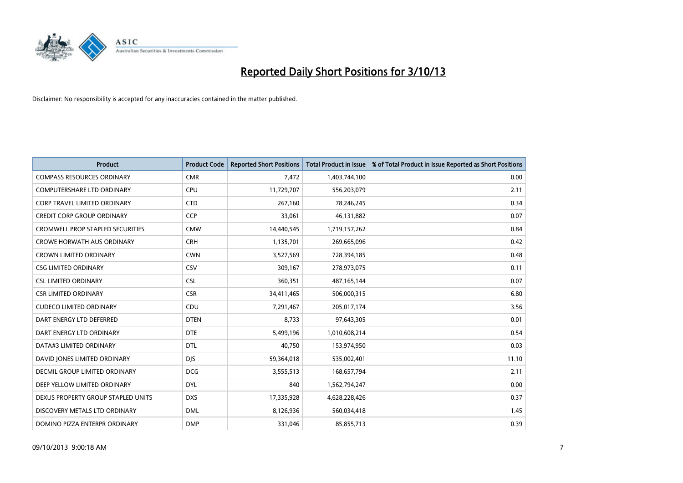

| <b>Product</b>                          | <b>Product Code</b> | <b>Reported Short Positions</b> | <b>Total Product in Issue</b> | % of Total Product in Issue Reported as Short Positions |
|-----------------------------------------|---------------------|---------------------------------|-------------------------------|---------------------------------------------------------|
| <b>COMPASS RESOURCES ORDINARY</b>       | <b>CMR</b>          | 7,472                           | 1,403,744,100                 | 0.00                                                    |
| COMPUTERSHARE LTD ORDINARY              | <b>CPU</b>          | 11,729,707                      | 556,203,079                   | 2.11                                                    |
| <b>CORP TRAVEL LIMITED ORDINARY</b>     | <b>CTD</b>          | 267,160                         | 78,246,245                    | 0.34                                                    |
| <b>CREDIT CORP GROUP ORDINARY</b>       | <b>CCP</b>          | 33,061                          | 46,131,882                    | 0.07                                                    |
| <b>CROMWELL PROP STAPLED SECURITIES</b> | <b>CMW</b>          | 14,440,545                      | 1,719,157,262                 | 0.84                                                    |
| <b>CROWE HORWATH AUS ORDINARY</b>       | <b>CRH</b>          | 1,135,701                       | 269,665,096                   | 0.42                                                    |
| <b>CROWN LIMITED ORDINARY</b>           | <b>CWN</b>          | 3,527,569                       | 728,394,185                   | 0.48                                                    |
| <b>CSG LIMITED ORDINARY</b>             | CSV                 | 309,167                         | 278,973,075                   | 0.11                                                    |
| <b>CSL LIMITED ORDINARY</b>             | <b>CSL</b>          | 360,351                         | 487, 165, 144                 | 0.07                                                    |
| <b>CSR LIMITED ORDINARY</b>             | <b>CSR</b>          | 34,411,465                      | 506,000,315                   | 6.80                                                    |
| <b>CUDECO LIMITED ORDINARY</b>          | CDU                 | 7,291,467                       | 205,017,174                   | 3.56                                                    |
| DART ENERGY LTD DEFERRED                | <b>DTEN</b>         | 8,733                           | 97,643,305                    | 0.01                                                    |
| DART ENERGY LTD ORDINARY                | <b>DTE</b>          | 5,499,196                       | 1,010,608,214                 | 0.54                                                    |
| DATA#3 LIMITED ORDINARY                 | <b>DTL</b>          | 40,750                          | 153,974,950                   | 0.03                                                    |
| DAVID JONES LIMITED ORDINARY            | <b>DJS</b>          | 59,364,018                      | 535,002,401                   | 11.10                                                   |
| <b>DECMIL GROUP LIMITED ORDINARY</b>    | <b>DCG</b>          | 3,555,513                       | 168,657,794                   | 2.11                                                    |
| DEEP YELLOW LIMITED ORDINARY            | <b>DYL</b>          | 840                             | 1,562,794,247                 | 0.00                                                    |
| DEXUS PROPERTY GROUP STAPLED UNITS      | <b>DXS</b>          | 17,335,928                      | 4,628,228,426                 | 0.37                                                    |
| DISCOVERY METALS LTD ORDINARY           | <b>DML</b>          | 8,126,936                       | 560,034,418                   | 1.45                                                    |
| DOMINO PIZZA ENTERPR ORDINARY           | <b>DMP</b>          | 331,046                         | 85,855,713                    | 0.39                                                    |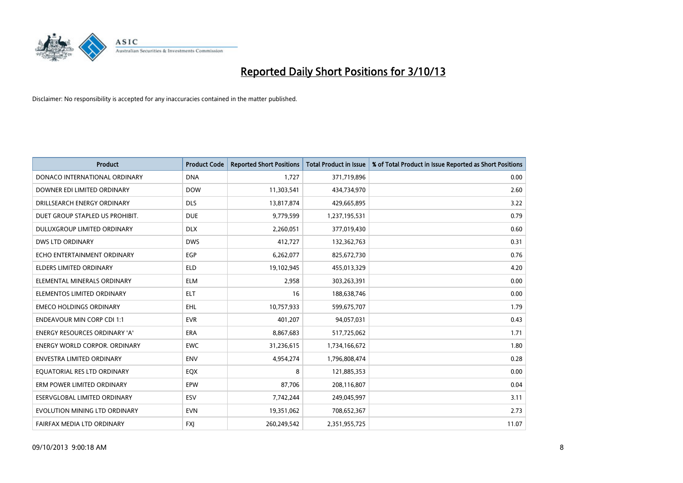

| <b>Product</b>                       | <b>Product Code</b> | <b>Reported Short Positions</b> | <b>Total Product in Issue</b> | % of Total Product in Issue Reported as Short Positions |
|--------------------------------------|---------------------|---------------------------------|-------------------------------|---------------------------------------------------------|
| DONACO INTERNATIONAL ORDINARY        | <b>DNA</b>          | 1,727                           | 371,719,896                   | 0.00                                                    |
| DOWNER EDI LIMITED ORDINARY          | <b>DOW</b>          | 11,303,541                      | 434,734,970                   | 2.60                                                    |
| DRILLSEARCH ENERGY ORDINARY          | <b>DLS</b>          | 13,817,874                      | 429,665,895                   | 3.22                                                    |
| DUET GROUP STAPLED US PROHIBIT.      | <b>DUE</b>          | 9,779,599                       | 1,237,195,531                 | 0.79                                                    |
| DULUXGROUP LIMITED ORDINARY          | <b>DLX</b>          | 2,260,051                       | 377,019,430                   | 0.60                                                    |
| <b>DWS LTD ORDINARY</b>              | <b>DWS</b>          | 412,727                         | 132,362,763                   | 0.31                                                    |
| ECHO ENTERTAINMENT ORDINARY          | <b>EGP</b>          | 6,262,077                       | 825,672,730                   | 0.76                                                    |
| <b>ELDERS LIMITED ORDINARY</b>       | <b>ELD</b>          | 19,102,945                      | 455,013,329                   | 4.20                                                    |
| ELEMENTAL MINERALS ORDINARY          | <b>ELM</b>          | 2,958                           | 303,263,391                   | 0.00                                                    |
| ELEMENTOS LIMITED ORDINARY           | <b>ELT</b>          | 16                              | 188,638,746                   | 0.00                                                    |
| <b>EMECO HOLDINGS ORDINARY</b>       | <b>EHL</b>          | 10,757,933                      | 599,675,707                   | 1.79                                                    |
| <b>ENDEAVOUR MIN CORP CDI 1:1</b>    | <b>EVR</b>          | 401,207                         | 94,057,031                    | 0.43                                                    |
| ENERGY RESOURCES ORDINARY 'A'        | <b>ERA</b>          | 8,867,683                       | 517,725,062                   | 1.71                                                    |
| <b>ENERGY WORLD CORPOR, ORDINARY</b> | <b>EWC</b>          | 31,236,615                      | 1,734,166,672                 | 1.80                                                    |
| <b>ENVESTRA LIMITED ORDINARY</b>     | <b>ENV</b>          | 4,954,274                       | 1,796,808,474                 | 0.28                                                    |
| EQUATORIAL RES LTD ORDINARY          | EQX                 | 8                               | 121,885,353                   | 0.00                                                    |
| ERM POWER LIMITED ORDINARY           | EPW                 | 87,706                          | 208,116,807                   | 0.04                                                    |
| ESERVGLOBAL LIMITED ORDINARY         | ESV                 | 7,742,244                       | 249,045,997                   | 3.11                                                    |
| EVOLUTION MINING LTD ORDINARY        | <b>EVN</b>          | 19,351,062                      | 708,652,367                   | 2.73                                                    |
| FAIRFAX MEDIA LTD ORDINARY           | <b>FXJ</b>          | 260,249,542                     | 2,351,955,725                 | 11.07                                                   |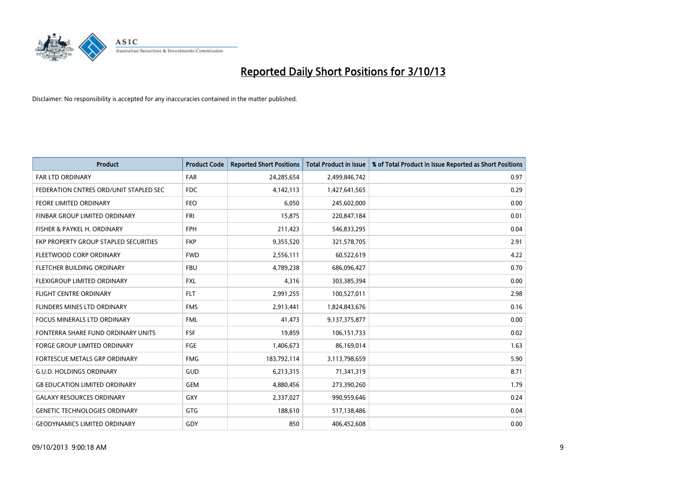

| <b>Product</b>                         | <b>Product Code</b> | <b>Reported Short Positions</b> | <b>Total Product in Issue</b> | % of Total Product in Issue Reported as Short Positions |
|----------------------------------------|---------------------|---------------------------------|-------------------------------|---------------------------------------------------------|
| <b>FAR LTD ORDINARY</b>                | <b>FAR</b>          | 24,285,654                      | 2,499,846,742                 | 0.97                                                    |
| FEDERATION CNTRES ORD/UNIT STAPLED SEC | FDC                 | 4,142,113                       | 1,427,641,565                 | 0.29                                                    |
| <b>FEORE LIMITED ORDINARY</b>          | <b>FEO</b>          | 6,050                           | 245,602,000                   | 0.00                                                    |
| FINBAR GROUP LIMITED ORDINARY          | <b>FRI</b>          | 15,875                          | 220,847,184                   | 0.01                                                    |
| FISHER & PAYKEL H. ORDINARY            | <b>FPH</b>          | 211,423                         | 546,833,295                   | 0.04                                                    |
| FKP PROPERTY GROUP STAPLED SECURITIES  | <b>FKP</b>          | 9,355,520                       | 321,578,705                   | 2.91                                                    |
| FLEETWOOD CORP ORDINARY                | <b>FWD</b>          | 2,556,111                       | 60,522,619                    | 4.22                                                    |
| FLETCHER BUILDING ORDINARY             | <b>FBU</b>          | 4,789,238                       | 686,096,427                   | 0.70                                                    |
| FLEXIGROUP LIMITED ORDINARY            | <b>FXL</b>          | 4,316                           | 303,385,394                   | 0.00                                                    |
| <b>FLIGHT CENTRE ORDINARY</b>          | <b>FLT</b>          | 2,991,255                       | 100,527,011                   | 2.98                                                    |
| FLINDERS MINES LTD ORDINARY            | <b>FMS</b>          | 2,913,441                       | 1,824,843,676                 | 0.16                                                    |
| <b>FOCUS MINERALS LTD ORDINARY</b>     | <b>FML</b>          | 41,473                          | 9,137,375,877                 | 0.00                                                    |
| FONTERRA SHARE FUND ORDINARY UNITS     | <b>FSF</b>          | 19,859                          | 106,151,733                   | 0.02                                                    |
| <b>FORGE GROUP LIMITED ORDINARY</b>    | <b>FGE</b>          | 1,406,673                       | 86,169,014                    | 1.63                                                    |
| FORTESCUE METALS GRP ORDINARY          | <b>FMG</b>          | 183,792,114                     | 3,113,798,659                 | 5.90                                                    |
| <b>G.U.D. HOLDINGS ORDINARY</b>        | GUD                 | 6,213,315                       | 71,341,319                    | 8.71                                                    |
| <b>G8 EDUCATION LIMITED ORDINARY</b>   | GEM                 | 4,880,456                       | 273,390,260                   | 1.79                                                    |
| <b>GALAXY RESOURCES ORDINARY</b>       | GXY                 | 2,337,027                       | 990,959,646                   | 0.24                                                    |
| <b>GENETIC TECHNOLOGIES ORDINARY</b>   | GTG                 | 188,610                         | 517,138,486                   | 0.04                                                    |
| <b>GEODYNAMICS LIMITED ORDINARY</b>    | GDY                 | 850                             | 406,452,608                   | 0.00                                                    |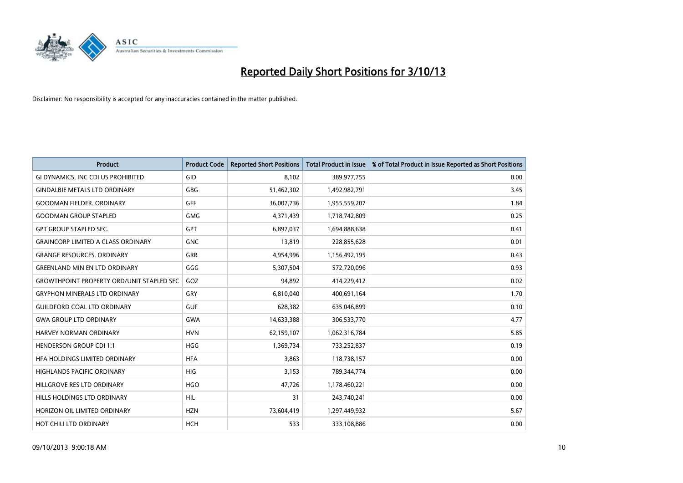

| <b>Product</b>                                   | <b>Product Code</b> | <b>Reported Short Positions</b> | <b>Total Product in Issue</b> | % of Total Product in Issue Reported as Short Positions |
|--------------------------------------------------|---------------------|---------------------------------|-------------------------------|---------------------------------------------------------|
| GI DYNAMICS, INC CDI US PROHIBITED               | GID                 | 8,102                           | 389,977,755                   | 0.00                                                    |
| <b>GINDALBIE METALS LTD ORDINARY</b>             | <b>GBG</b>          | 51,462,302                      | 1,492,982,791                 | 3.45                                                    |
| <b>GOODMAN FIELDER, ORDINARY</b>                 | GFF                 | 36,007,736                      | 1,955,559,207                 | 1.84                                                    |
| <b>GOODMAN GROUP STAPLED</b>                     | <b>GMG</b>          | 4,371,439                       | 1,718,742,809                 | 0.25                                                    |
| <b>GPT GROUP STAPLED SEC.</b>                    | GPT                 | 6,897,037                       | 1,694,888,638                 | 0.41                                                    |
| <b>GRAINCORP LIMITED A CLASS ORDINARY</b>        | <b>GNC</b>          | 13,819                          | 228,855,628                   | 0.01                                                    |
| <b>GRANGE RESOURCES, ORDINARY</b>                | GRR                 | 4,954,996                       | 1,156,492,195                 | 0.43                                                    |
| <b>GREENLAND MIN EN LTD ORDINARY</b>             | GGG                 | 5,307,504                       | 572,720,096                   | 0.93                                                    |
| <b>GROWTHPOINT PROPERTY ORD/UNIT STAPLED SEC</b> | GOZ                 | 94,892                          | 414,229,412                   | 0.02                                                    |
| <b>GRYPHON MINERALS LTD ORDINARY</b>             | GRY                 | 6,810,040                       | 400,691,164                   | 1.70                                                    |
| <b>GUILDFORD COAL LTD ORDINARY</b>               | <b>GUF</b>          | 628,382                         | 635,046,899                   | 0.10                                                    |
| <b>GWA GROUP LTD ORDINARY</b>                    | <b>GWA</b>          | 14,633,388                      | 306,533,770                   | 4.77                                                    |
| HARVEY NORMAN ORDINARY                           | <b>HVN</b>          | 62,159,107                      | 1,062,316,784                 | 5.85                                                    |
| <b>HENDERSON GROUP CDI 1:1</b>                   | <b>HGG</b>          | 1,369,734                       | 733,252,837                   | 0.19                                                    |
| HFA HOLDINGS LIMITED ORDINARY                    | <b>HFA</b>          | 3,863                           | 118,738,157                   | 0.00                                                    |
| HIGHLANDS PACIFIC ORDINARY                       | <b>HIG</b>          | 3,153                           | 789,344,774                   | 0.00                                                    |
| HILLGROVE RES LTD ORDINARY                       | <b>HGO</b>          | 47,726                          | 1,178,460,221                 | 0.00                                                    |
| HILLS HOLDINGS LTD ORDINARY                      | <b>HIL</b>          | 31                              | 243,740,241                   | 0.00                                                    |
| HORIZON OIL LIMITED ORDINARY                     | <b>HZN</b>          | 73,604,419                      | 1,297,449,932                 | 5.67                                                    |
| HOT CHILI LTD ORDINARY                           | <b>HCH</b>          | 533                             | 333,108,886                   | 0.00                                                    |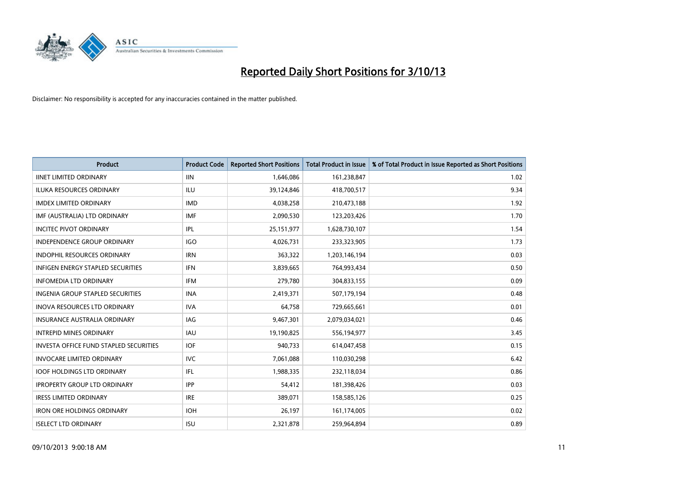

| <b>Product</b>                                | <b>Product Code</b> | <b>Reported Short Positions</b> | <b>Total Product in Issue</b> | % of Total Product in Issue Reported as Short Positions |
|-----------------------------------------------|---------------------|---------------------------------|-------------------------------|---------------------------------------------------------|
| <b>IINET LIMITED ORDINARY</b>                 | <b>IIN</b>          | 1,646,086                       | 161,238,847                   | 1.02                                                    |
| <b>ILUKA RESOURCES ORDINARY</b>               | <b>ILU</b>          | 39,124,846                      | 418,700,517                   | 9.34                                                    |
| <b>IMDEX LIMITED ORDINARY</b>                 | <b>IMD</b>          | 4,038,258                       | 210,473,188                   | 1.92                                                    |
| IMF (AUSTRALIA) LTD ORDINARY                  | <b>IMF</b>          | 2,090,530                       | 123,203,426                   | 1.70                                                    |
| <b>INCITEC PIVOT ORDINARY</b>                 | IPL                 | 25, 151, 977                    | 1,628,730,107                 | 1.54                                                    |
| <b>INDEPENDENCE GROUP ORDINARY</b>            | <b>IGO</b>          | 4,026,731                       | 233,323,905                   | 1.73                                                    |
| <b>INDOPHIL RESOURCES ORDINARY</b>            | <b>IRN</b>          | 363,322                         | 1,203,146,194                 | 0.03                                                    |
| <b>INFIGEN ENERGY STAPLED SECURITIES</b>      | <b>IFN</b>          | 3,839,665                       | 764,993,434                   | 0.50                                                    |
| <b>INFOMEDIA LTD ORDINARY</b>                 | <b>IFM</b>          | 279,780                         | 304,833,155                   | 0.09                                                    |
| <b>INGENIA GROUP STAPLED SECURITIES</b>       | <b>INA</b>          | 2,419,371                       | 507,179,194                   | 0.48                                                    |
| <b>INOVA RESOURCES LTD ORDINARY</b>           | <b>IVA</b>          | 64,758                          | 729,665,661                   | 0.01                                                    |
| <b>INSURANCE AUSTRALIA ORDINARY</b>           | IAG                 | 9,467,301                       | 2,079,034,021                 | 0.46                                                    |
| <b>INTREPID MINES ORDINARY</b>                | <b>IAU</b>          | 19,190,825                      | 556,194,977                   | 3.45                                                    |
| <b>INVESTA OFFICE FUND STAPLED SECURITIES</b> | <b>IOF</b>          | 940.733                         | 614,047,458                   | 0.15                                                    |
| <b>INVOCARE LIMITED ORDINARY</b>              | <b>IVC</b>          | 7,061,088                       | 110,030,298                   | 6.42                                                    |
| <b>IOOF HOLDINGS LTD ORDINARY</b>             | IFL                 | 1,988,335                       | 232,118,034                   | 0.86                                                    |
| <b>IPROPERTY GROUP LTD ORDINARY</b>           | <b>IPP</b>          | 54,412                          | 181,398,426                   | 0.03                                                    |
| <b>IRESS LIMITED ORDINARY</b>                 | <b>IRE</b>          | 389,071                         | 158,585,126                   | 0.25                                                    |
| <b>IRON ORE HOLDINGS ORDINARY</b>             | <b>IOH</b>          | 26,197                          | 161,174,005                   | 0.02                                                    |
| <b>ISELECT LTD ORDINARY</b>                   | <b>ISU</b>          | 2,321,878                       | 259,964,894                   | 0.89                                                    |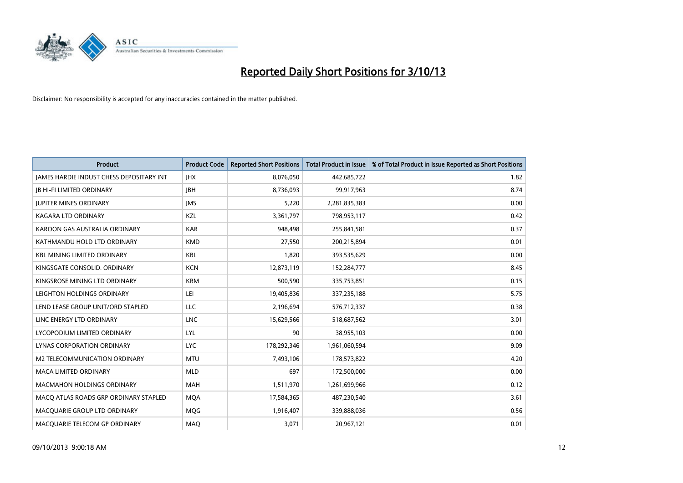

| <b>Product</b>                                  | <b>Product Code</b> | <b>Reported Short Positions</b> | <b>Total Product in Issue</b> | % of Total Product in Issue Reported as Short Positions |
|-------------------------------------------------|---------------------|---------------------------------|-------------------------------|---------------------------------------------------------|
| <b>JAMES HARDIE INDUST CHESS DEPOSITARY INT</b> | <b>IHX</b>          | 8,076,050                       | 442,685,722                   | 1.82                                                    |
| <b>JB HI-FI LIMITED ORDINARY</b>                | <b>JBH</b>          | 8,736,093                       | 99,917,963                    | 8.74                                                    |
| <b>JUPITER MINES ORDINARY</b>                   | <b>IMS</b>          | 5,220                           | 2,281,835,383                 | 0.00                                                    |
| <b>KAGARA LTD ORDINARY</b>                      | KZL                 | 3,361,797                       | 798,953,117                   | 0.42                                                    |
| KAROON GAS AUSTRALIA ORDINARY                   | <b>KAR</b>          | 948,498                         | 255,841,581                   | 0.37                                                    |
| KATHMANDU HOLD LTD ORDINARY                     | <b>KMD</b>          | 27,550                          | 200,215,894                   | 0.01                                                    |
| <b>KBL MINING LIMITED ORDINARY</b>              | <b>KBL</b>          | 1,820                           | 393,535,629                   | 0.00                                                    |
| KINGSGATE CONSOLID. ORDINARY                    | <b>KCN</b>          | 12,873,119                      | 152,284,777                   | 8.45                                                    |
| KINGSROSE MINING LTD ORDINARY                   | <b>KRM</b>          | 500,590                         | 335,753,851                   | 0.15                                                    |
| LEIGHTON HOLDINGS ORDINARY                      | LEI                 | 19,405,836                      | 337,235,188                   | 5.75                                                    |
| LEND LEASE GROUP UNIT/ORD STAPLED               | LLC                 | 2,196,694                       | 576,712,337                   | 0.38                                                    |
| LINC ENERGY LTD ORDINARY                        | <b>LNC</b>          | 15,629,566                      | 518,687,562                   | 3.01                                                    |
| LYCOPODIUM LIMITED ORDINARY                     | <b>LYL</b>          | 90                              | 38,955,103                    | 0.00                                                    |
| <b>LYNAS CORPORATION ORDINARY</b>               | <b>LYC</b>          | 178,292,346                     | 1,961,060,594                 | 9.09                                                    |
| M2 TELECOMMUNICATION ORDINARY                   | <b>MTU</b>          | 7,493,106                       | 178,573,822                   | 4.20                                                    |
| MACA LIMITED ORDINARY                           | <b>MLD</b>          | 697                             | 172,500,000                   | 0.00                                                    |
| MACMAHON HOLDINGS ORDINARY                      | MAH                 | 1,511,970                       | 1,261,699,966                 | 0.12                                                    |
| MACO ATLAS ROADS GRP ORDINARY STAPLED           | <b>MQA</b>          | 17,584,365                      | 487,230,540                   | 3.61                                                    |
| MACQUARIE GROUP LTD ORDINARY                    | MQG                 | 1,916,407                       | 339,888,036                   | 0.56                                                    |
| MACQUARIE TELECOM GP ORDINARY                   | MAQ                 | 3,071                           | 20,967,121                    | 0.01                                                    |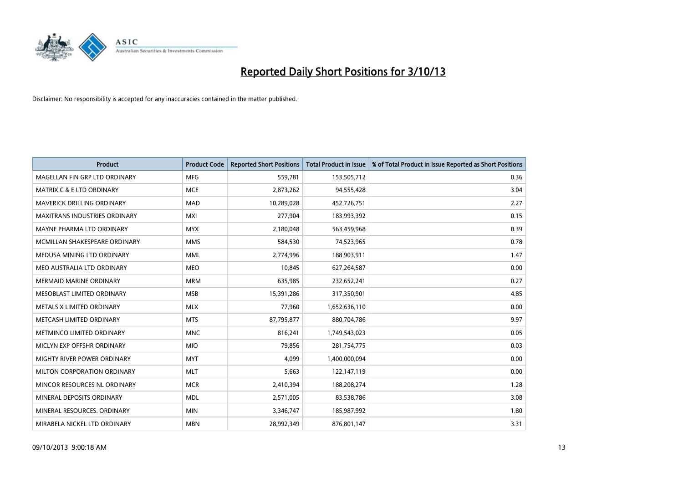

| <b>Product</b>                       | <b>Product Code</b> | <b>Reported Short Positions</b> | <b>Total Product in Issue</b> | % of Total Product in Issue Reported as Short Positions |
|--------------------------------------|---------------------|---------------------------------|-------------------------------|---------------------------------------------------------|
| MAGELLAN FIN GRP LTD ORDINARY        | <b>MFG</b>          | 559,781                         | 153,505,712                   | 0.36                                                    |
| <b>MATRIX C &amp; E LTD ORDINARY</b> | <b>MCE</b>          | 2,873,262                       | 94,555,428                    | 3.04                                                    |
| <b>MAVERICK DRILLING ORDINARY</b>    | <b>MAD</b>          | 10,289,028                      | 452,726,751                   | 2.27                                                    |
| <b>MAXITRANS INDUSTRIES ORDINARY</b> | <b>MXI</b>          | 277,904                         | 183,993,392                   | 0.15                                                    |
| MAYNE PHARMA LTD ORDINARY            | <b>MYX</b>          | 2,180,048                       | 563,459,968                   | 0.39                                                    |
| MCMILLAN SHAKESPEARE ORDINARY        | <b>MMS</b>          | 584,530                         | 74,523,965                    | 0.78                                                    |
| MEDUSA MINING LTD ORDINARY           | <b>MML</b>          | 2,774,996                       | 188,903,911                   | 1.47                                                    |
| MEO AUSTRALIA LTD ORDINARY           | <b>MEO</b>          | 10,845                          | 627,264,587                   | 0.00                                                    |
| <b>MERMAID MARINE ORDINARY</b>       | <b>MRM</b>          | 635,985                         | 232,652,241                   | 0.27                                                    |
| MESOBLAST LIMITED ORDINARY           | <b>MSB</b>          | 15,391,286                      | 317,350,901                   | 4.85                                                    |
| METALS X LIMITED ORDINARY            | <b>MLX</b>          | 77,960                          | 1,652,636,110                 | 0.00                                                    |
| METCASH LIMITED ORDINARY             | <b>MTS</b>          | 87,795,877                      | 880,704,786                   | 9.97                                                    |
| METMINCO LIMITED ORDINARY            | <b>MNC</b>          | 816,241                         | 1,749,543,023                 | 0.05                                                    |
| MICLYN EXP OFFSHR ORDINARY           | <b>MIO</b>          | 79,856                          | 281,754,775                   | 0.03                                                    |
| MIGHTY RIVER POWER ORDINARY          | <b>MYT</b>          | 4,099                           | 1,400,000,094                 | 0.00                                                    |
| MILTON CORPORATION ORDINARY          | <b>MLT</b>          | 5,663                           | 122,147,119                   | 0.00                                                    |
| MINCOR RESOURCES NL ORDINARY         | <b>MCR</b>          | 2,410,394                       | 188,208,274                   | 1.28                                                    |
| MINERAL DEPOSITS ORDINARY            | <b>MDL</b>          | 2,571,005                       | 83,538,786                    | 3.08                                                    |
| MINERAL RESOURCES, ORDINARY          | <b>MIN</b>          | 3,346,747                       | 185,987,992                   | 1.80                                                    |
| MIRABELA NICKEL LTD ORDINARY         | <b>MBN</b>          | 28,992,349                      | 876,801,147                   | 3.31                                                    |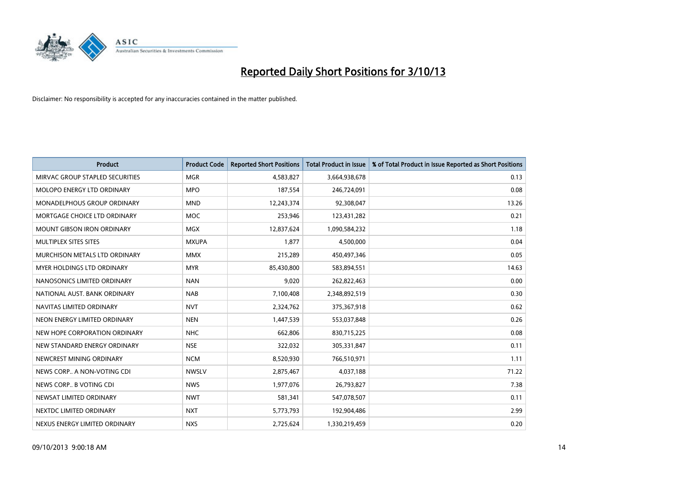

| <b>Product</b>                     | <b>Product Code</b> | <b>Reported Short Positions</b> | <b>Total Product in Issue</b> | % of Total Product in Issue Reported as Short Positions |
|------------------------------------|---------------------|---------------------------------|-------------------------------|---------------------------------------------------------|
| MIRVAC GROUP STAPLED SECURITIES    | <b>MGR</b>          | 4,583,827                       | 3,664,938,678                 | 0.13                                                    |
| MOLOPO ENERGY LTD ORDINARY         | <b>MPO</b>          | 187,554                         | 246,724,091                   | 0.08                                                    |
| <b>MONADELPHOUS GROUP ORDINARY</b> | <b>MND</b>          | 12,243,374                      | 92,308,047                    | 13.26                                                   |
| MORTGAGE CHOICE LTD ORDINARY       | <b>MOC</b>          | 253,946                         | 123,431,282                   | 0.21                                                    |
| <b>MOUNT GIBSON IRON ORDINARY</b>  | <b>MGX</b>          | 12,837,624                      | 1,090,584,232                 | 1.18                                                    |
| MULTIPLEX SITES SITES              | <b>MXUPA</b>        | 1,877                           | 4,500,000                     | 0.04                                                    |
| MURCHISON METALS LTD ORDINARY      | <b>MMX</b>          | 215,289                         | 450,497,346                   | 0.05                                                    |
| MYER HOLDINGS LTD ORDINARY         | <b>MYR</b>          | 85,430,800                      | 583,894,551                   | 14.63                                                   |
| NANOSONICS LIMITED ORDINARY        | <b>NAN</b>          | 9,020                           | 262,822,463                   | 0.00                                                    |
| NATIONAL AUST, BANK ORDINARY       | <b>NAB</b>          | 7,100,408                       | 2,348,892,519                 | 0.30                                                    |
| NAVITAS LIMITED ORDINARY           | <b>NVT</b>          | 2,324,762                       | 375,367,918                   | 0.62                                                    |
| NEON ENERGY LIMITED ORDINARY       | <b>NEN</b>          | 1,447,539                       | 553,037,848                   | 0.26                                                    |
| NEW HOPE CORPORATION ORDINARY      | <b>NHC</b>          | 662,806                         | 830,715,225                   | 0.08                                                    |
| NEW STANDARD ENERGY ORDINARY       | <b>NSE</b>          | 322,032                         | 305,331,847                   | 0.11                                                    |
| NEWCREST MINING ORDINARY           | <b>NCM</b>          | 8,520,930                       | 766,510,971                   | 1.11                                                    |
| NEWS CORP A NON-VOTING CDI         | <b>NWSLV</b>        | 2,875,467                       | 4,037,188                     | 71.22                                                   |
| NEWS CORP B VOTING CDI             | <b>NWS</b>          | 1,977,076                       | 26,793,827                    | 7.38                                                    |
| NEWSAT LIMITED ORDINARY            | <b>NWT</b>          | 581,341                         | 547,078,507                   | 0.11                                                    |
| NEXTDC LIMITED ORDINARY            | <b>NXT</b>          | 5,773,793                       | 192,904,486                   | 2.99                                                    |
| NEXUS ENERGY LIMITED ORDINARY      | <b>NXS</b>          | 2,725,624                       | 1,330,219,459                 | 0.20                                                    |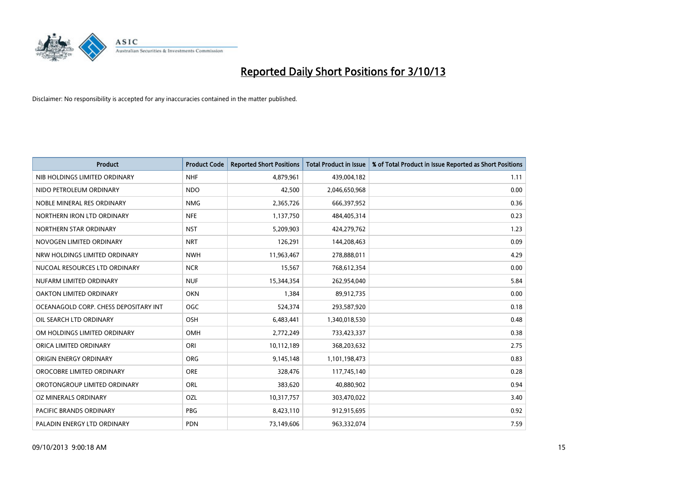

| <b>Product</b>                        | <b>Product Code</b> | <b>Reported Short Positions</b> | <b>Total Product in Issue</b> | % of Total Product in Issue Reported as Short Positions |
|---------------------------------------|---------------------|---------------------------------|-------------------------------|---------------------------------------------------------|
| NIB HOLDINGS LIMITED ORDINARY         | <b>NHF</b>          | 4,879,961                       | 439,004,182                   | 1.11                                                    |
| NIDO PETROLEUM ORDINARY               | <b>NDO</b>          | 42,500                          | 2,046,650,968                 | 0.00                                                    |
| NOBLE MINERAL RES ORDINARY            | <b>NMG</b>          | 2,365,726                       | 666,397,952                   | 0.36                                                    |
| NORTHERN IRON LTD ORDINARY            | <b>NFE</b>          | 1,137,750                       | 484,405,314                   | 0.23                                                    |
| NORTHERN STAR ORDINARY                | <b>NST</b>          | 5,209,903                       | 424,279,762                   | 1.23                                                    |
| NOVOGEN LIMITED ORDINARY              | <b>NRT</b>          | 126,291                         | 144,208,463                   | 0.09                                                    |
| NRW HOLDINGS LIMITED ORDINARY         | <b>NWH</b>          | 11,963,467                      | 278,888,011                   | 4.29                                                    |
| NUCOAL RESOURCES LTD ORDINARY         | <b>NCR</b>          | 15,567                          | 768,612,354                   | 0.00                                                    |
| NUFARM LIMITED ORDINARY               | <b>NUF</b>          | 15,344,354                      | 262,954,040                   | 5.84                                                    |
| <b>OAKTON LIMITED ORDINARY</b>        | <b>OKN</b>          | 1,384                           | 89,912,735                    | 0.00                                                    |
| OCEANAGOLD CORP. CHESS DEPOSITARY INT | <b>OGC</b>          | 524,374                         | 293,587,920                   | 0.18                                                    |
| OIL SEARCH LTD ORDINARY               | OSH                 | 6,483,441                       | 1,340,018,530                 | 0.48                                                    |
| OM HOLDINGS LIMITED ORDINARY          | OMH                 | 2,772,249                       | 733,423,337                   | 0.38                                                    |
| ORICA LIMITED ORDINARY                | ORI                 | 10,112,189                      | 368,203,632                   | 2.75                                                    |
| ORIGIN ENERGY ORDINARY                | <b>ORG</b>          | 9,145,148                       | 1,101,198,473                 | 0.83                                                    |
| OROCOBRE LIMITED ORDINARY             | <b>ORE</b>          | 328,476                         | 117,745,140                   | 0.28                                                    |
| OROTONGROUP LIMITED ORDINARY          | ORL                 | 383,620                         | 40,880,902                    | 0.94                                                    |
| <b>OZ MINERALS ORDINARY</b>           | OZL                 | 10,317,757                      | 303,470,022                   | 3.40                                                    |
| <b>PACIFIC BRANDS ORDINARY</b>        | <b>PBG</b>          | 8,423,110                       | 912,915,695                   | 0.92                                                    |
| PALADIN ENERGY LTD ORDINARY           | <b>PDN</b>          | 73,149,606                      | 963,332,074                   | 7.59                                                    |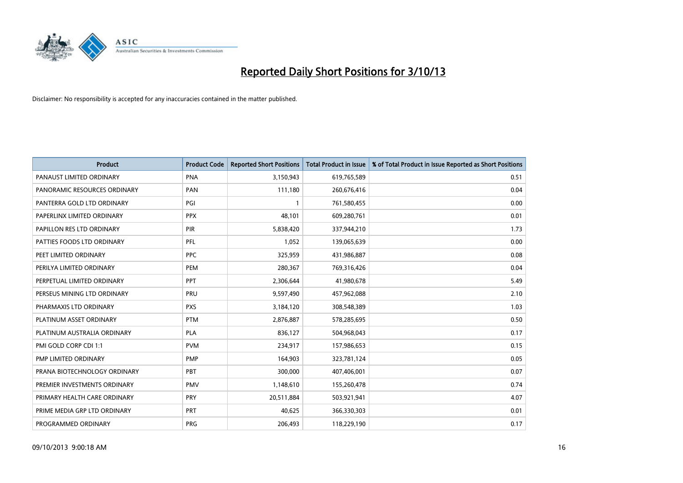

| <b>Product</b>               | <b>Product Code</b> | <b>Reported Short Positions</b> | <b>Total Product in Issue</b> | % of Total Product in Issue Reported as Short Positions |
|------------------------------|---------------------|---------------------------------|-------------------------------|---------------------------------------------------------|
| PANAUST LIMITED ORDINARY     | <b>PNA</b>          | 3,150,943                       | 619,765,589                   | 0.51                                                    |
| PANORAMIC RESOURCES ORDINARY | PAN                 | 111,180                         | 260,676,416                   | 0.04                                                    |
| PANTERRA GOLD LTD ORDINARY   | PGI                 | $\mathbf{1}$                    | 761,580,455                   | 0.00                                                    |
| PAPERLINX LIMITED ORDINARY   | <b>PPX</b>          | 48,101                          | 609,280,761                   | 0.01                                                    |
| PAPILLON RES LTD ORDINARY    | PIR                 | 5,838,420                       | 337,944,210                   | 1.73                                                    |
| PATTIES FOODS LTD ORDINARY   | PFL                 | 1,052                           | 139,065,639                   | 0.00                                                    |
| PEET LIMITED ORDINARY        | <b>PPC</b>          | 325,959                         | 431,986,887                   | 0.08                                                    |
| PERILYA LIMITED ORDINARY     | PEM                 | 280,367                         | 769,316,426                   | 0.04                                                    |
| PERPETUAL LIMITED ORDINARY   | PPT                 | 2,306,644                       | 41,980,678                    | 5.49                                                    |
| PERSEUS MINING LTD ORDINARY  | <b>PRU</b>          | 9,597,490                       | 457,962,088                   | 2.10                                                    |
| PHARMAXIS LTD ORDINARY       | <b>PXS</b>          | 3,184,120                       | 308,548,389                   | 1.03                                                    |
| PLATINUM ASSET ORDINARY      | <b>PTM</b>          | 2,876,887                       | 578,285,695                   | 0.50                                                    |
| PLATINUM AUSTRALIA ORDINARY  | <b>PLA</b>          | 836,127                         | 504,968,043                   | 0.17                                                    |
| PMI GOLD CORP CDI 1:1        | <b>PVM</b>          | 234,917                         | 157,986,653                   | 0.15                                                    |
| PMP LIMITED ORDINARY         | <b>PMP</b>          | 164,903                         | 323,781,124                   | 0.05                                                    |
| PRANA BIOTECHNOLOGY ORDINARY | <b>PBT</b>          | 300,000                         | 407,406,001                   | 0.07                                                    |
| PREMIER INVESTMENTS ORDINARY | PMV                 | 1,148,610                       | 155,260,478                   | 0.74                                                    |
| PRIMARY HEALTH CARE ORDINARY | <b>PRY</b>          | 20,511,884                      | 503,921,941                   | 4.07                                                    |
| PRIME MEDIA GRP LTD ORDINARY | <b>PRT</b>          | 40,625                          | 366,330,303                   | 0.01                                                    |
| PROGRAMMED ORDINARY          | <b>PRG</b>          | 206,493                         | 118,229,190                   | 0.17                                                    |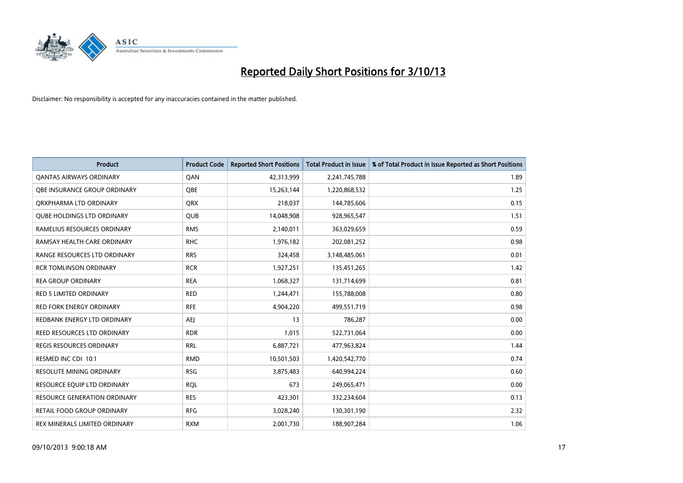

| <b>Product</b>                      | <b>Product Code</b> | <b>Reported Short Positions</b> | <b>Total Product in Issue</b> | % of Total Product in Issue Reported as Short Positions |
|-------------------------------------|---------------------|---------------------------------|-------------------------------|---------------------------------------------------------|
| <b>QANTAS AIRWAYS ORDINARY</b>      | QAN                 | 42,313,999                      | 2,241,745,788                 | 1.89                                                    |
| <b>OBE INSURANCE GROUP ORDINARY</b> | <b>OBE</b>          | 15,263,144                      | 1,220,868,532                 | 1.25                                                    |
| ORXPHARMA LTD ORDINARY              | <b>QRX</b>          | 218,037                         | 144,785,606                   | 0.15                                                    |
| <b>QUBE HOLDINGS LTD ORDINARY</b>   | <b>QUB</b>          | 14,048,908                      | 928,965,547                   | 1.51                                                    |
| RAMELIUS RESOURCES ORDINARY         | <b>RMS</b>          | 2,140,011                       | 363,029,659                   | 0.59                                                    |
| RAMSAY HEALTH CARE ORDINARY         | <b>RHC</b>          | 1,976,182                       | 202,081,252                   | 0.98                                                    |
| RANGE RESOURCES LTD ORDINARY        | <b>RRS</b>          | 324,458                         | 3,148,485,061                 | 0.01                                                    |
| <b>RCR TOMLINSON ORDINARY</b>       | <b>RCR</b>          | 1,927,251                       | 135,451,265                   | 1.42                                                    |
| <b>REA GROUP ORDINARY</b>           | <b>REA</b>          | 1,068,327                       | 131,714,699                   | 0.81                                                    |
| <b>RED 5 LIMITED ORDINARY</b>       | <b>RED</b>          | 1,244,471                       | 155,788,008                   | 0.80                                                    |
| <b>RED FORK ENERGY ORDINARY</b>     | <b>RFE</b>          | 4,904,220                       | 499,551,719                   | 0.98                                                    |
| REDBANK ENERGY LTD ORDINARY         | <b>AEJ</b>          | 13                              | 786,287                       | 0.00                                                    |
| REED RESOURCES LTD ORDINARY         | <b>RDR</b>          | 1,015                           | 522,731,064                   | 0.00                                                    |
| <b>REGIS RESOURCES ORDINARY</b>     | <b>RRL</b>          | 6,887,721                       | 477,963,824                   | 1.44                                                    |
| RESMED INC CDI 10:1                 | <b>RMD</b>          | 10,501,503                      | 1,420,542,770                 | 0.74                                                    |
| <b>RESOLUTE MINING ORDINARY</b>     | <b>RSG</b>          | 3,875,483                       | 640,994,224                   | 0.60                                                    |
| RESOURCE EQUIP LTD ORDINARY         | <b>RQL</b>          | 673                             | 249,065,471                   | 0.00                                                    |
| RESOURCE GENERATION ORDINARY        | <b>RES</b>          | 423,301                         | 332,234,604                   | 0.13                                                    |
| <b>RETAIL FOOD GROUP ORDINARY</b>   | <b>RFG</b>          | 3,028,240                       | 130,301,190                   | 2.32                                                    |
| REX MINERALS LIMITED ORDINARY       | <b>RXM</b>          | 2,001,730                       | 188,907,284                   | 1.06                                                    |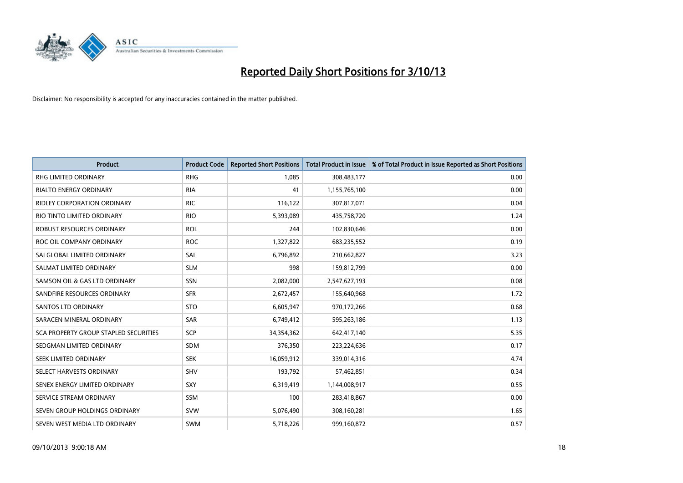

| <b>Product</b>                        | <b>Product Code</b> | <b>Reported Short Positions</b> | <b>Total Product in Issue</b> | % of Total Product in Issue Reported as Short Positions |
|---------------------------------------|---------------------|---------------------------------|-------------------------------|---------------------------------------------------------|
| <b>RHG LIMITED ORDINARY</b>           | <b>RHG</b>          | 1,085                           | 308,483,177                   | 0.00                                                    |
| <b>RIALTO ENERGY ORDINARY</b>         | <b>RIA</b>          | 41                              | 1,155,765,100                 | 0.00                                                    |
| <b>RIDLEY CORPORATION ORDINARY</b>    | <b>RIC</b>          | 116,122                         | 307,817,071                   | 0.04                                                    |
| RIO TINTO LIMITED ORDINARY            | <b>RIO</b>          | 5,393,089                       | 435,758,720                   | 1.24                                                    |
| ROBUST RESOURCES ORDINARY             | <b>ROL</b>          | 244                             | 102,830,646                   | 0.00                                                    |
| ROC OIL COMPANY ORDINARY              | <b>ROC</b>          | 1,327,822                       | 683,235,552                   | 0.19                                                    |
| SAI GLOBAL LIMITED ORDINARY           | SAI                 | 6,796,892                       | 210,662,827                   | 3.23                                                    |
| SALMAT LIMITED ORDINARY               | <b>SLM</b>          | 998                             | 159,812,799                   | 0.00                                                    |
| SAMSON OIL & GAS LTD ORDINARY         | SSN                 | 2,082,000                       | 2,547,627,193                 | 0.08                                                    |
| SANDFIRE RESOURCES ORDINARY           | <b>SFR</b>          | 2,672,457                       | 155,640,968                   | 1.72                                                    |
| <b>SANTOS LTD ORDINARY</b>            | <b>STO</b>          | 6,605,947                       | 970,172,266                   | 0.68                                                    |
| SARACEN MINERAL ORDINARY              | SAR                 | 6,749,412                       | 595,263,186                   | 1.13                                                    |
| SCA PROPERTY GROUP STAPLED SECURITIES | <b>SCP</b>          | 34,354,362                      | 642,417,140                   | 5.35                                                    |
| SEDGMAN LIMITED ORDINARY              | <b>SDM</b>          | 376,350                         | 223,224,636                   | 0.17                                                    |
| SEEK LIMITED ORDINARY                 | <b>SEK</b>          | 16,059,912                      | 339,014,316                   | 4.74                                                    |
| SELECT HARVESTS ORDINARY              | <b>SHV</b>          | 193,792                         | 57,462,851                    | 0.34                                                    |
| SENEX ENERGY LIMITED ORDINARY         | <b>SXY</b>          | 6,319,419                       | 1,144,008,917                 | 0.55                                                    |
| SERVICE STREAM ORDINARY               | SSM                 | 100                             | 283,418,867                   | 0.00                                                    |
| SEVEN GROUP HOLDINGS ORDINARY         | <b>SVW</b>          | 5,076,490                       | 308,160,281                   | 1.65                                                    |
| SEVEN WEST MEDIA LTD ORDINARY         | <b>SWM</b>          | 5,718,226                       | 999,160,872                   | 0.57                                                    |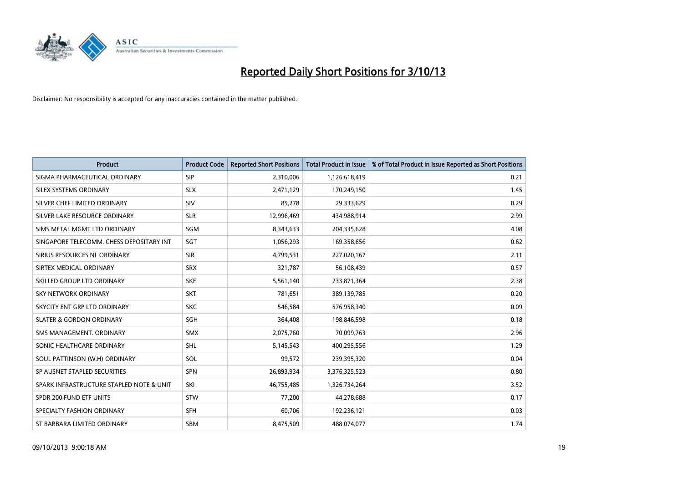

| <b>Product</b>                           | <b>Product Code</b> | <b>Reported Short Positions</b> | <b>Total Product in Issue</b> | % of Total Product in Issue Reported as Short Positions |
|------------------------------------------|---------------------|---------------------------------|-------------------------------|---------------------------------------------------------|
| SIGMA PHARMACEUTICAL ORDINARY            | <b>SIP</b>          | 2,310,006                       | 1,126,618,419                 | 0.21                                                    |
| SILEX SYSTEMS ORDINARY                   | <b>SLX</b>          | 2,471,129                       | 170,249,150                   | 1.45                                                    |
| SILVER CHEF LIMITED ORDINARY             | SIV                 | 85,278                          | 29,333,629                    | 0.29                                                    |
| SILVER LAKE RESOURCE ORDINARY            | <b>SLR</b>          | 12,996,469                      | 434,988,914                   | 2.99                                                    |
| SIMS METAL MGMT LTD ORDINARY             | SGM                 | 8,343,633                       | 204,335,628                   | 4.08                                                    |
| SINGAPORE TELECOMM. CHESS DEPOSITARY INT | SGT                 | 1,056,293                       | 169,358,656                   | 0.62                                                    |
| SIRIUS RESOURCES NL ORDINARY             | <b>SIR</b>          | 4,799,531                       | 227,020,167                   | 2.11                                                    |
| SIRTEX MEDICAL ORDINARY                  | <b>SRX</b>          | 321,787                         | 56,108,439                    | 0.57                                                    |
| SKILLED GROUP LTD ORDINARY               | <b>SKE</b>          | 5,561,140                       | 233,871,364                   | 2.38                                                    |
| <b>SKY NETWORK ORDINARY</b>              | <b>SKT</b>          | 781,651                         | 389,139,785                   | 0.20                                                    |
| SKYCITY ENT GRP LTD ORDINARY             | <b>SKC</b>          | 546,584                         | 576,958,340                   | 0.09                                                    |
| <b>SLATER &amp; GORDON ORDINARY</b>      | SGH                 | 364,408                         | 198,846,598                   | 0.18                                                    |
| SMS MANAGEMENT. ORDINARY                 | <b>SMX</b>          | 2,075,760                       | 70,099,763                    | 2.96                                                    |
| SONIC HEALTHCARE ORDINARY                | <b>SHL</b>          | 5,145,543                       | 400,295,556                   | 1.29                                                    |
| SOUL PATTINSON (W.H) ORDINARY            | SOL                 | 99,572                          | 239,395,320                   | 0.04                                                    |
| SP AUSNET STAPLED SECURITIES             | SPN                 | 26,893,934                      | 3,376,325,523                 | 0.80                                                    |
| SPARK INFRASTRUCTURE STAPLED NOTE & UNIT | SKI                 | 46,755,485                      | 1,326,734,264                 | 3.52                                                    |
| SPDR 200 FUND ETF UNITS                  | <b>STW</b>          | 77,200                          | 44,278,688                    | 0.17                                                    |
| SPECIALTY FASHION ORDINARY               | <b>SFH</b>          | 60,706                          | 192,236,121                   | 0.03                                                    |
| ST BARBARA LIMITED ORDINARY              | <b>SBM</b>          | 8,475,509                       | 488,074,077                   | 1.74                                                    |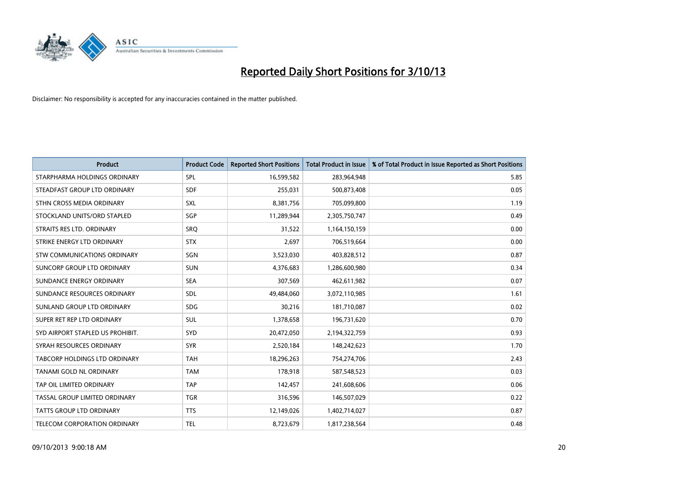

| <b>Product</b>                   | <b>Product Code</b> | <b>Reported Short Positions</b> | <b>Total Product in Issue</b> | % of Total Product in Issue Reported as Short Positions |
|----------------------------------|---------------------|---------------------------------|-------------------------------|---------------------------------------------------------|
| STARPHARMA HOLDINGS ORDINARY     | <b>SPL</b>          | 16,599,582                      | 283,964,948                   | 5.85                                                    |
| STEADFAST GROUP LTD ORDINARY     | <b>SDF</b>          | 255,031                         | 500,873,408                   | 0.05                                                    |
| STHN CROSS MEDIA ORDINARY        | <b>SXL</b>          | 8,381,756                       | 705,099,800                   | 1.19                                                    |
| STOCKLAND UNITS/ORD STAPLED      | SGP                 | 11,289,944                      | 2,305,750,747                 | 0.49                                                    |
| STRAITS RES LTD. ORDINARY        | SRO                 | 31,522                          | 1,164,150,159                 | 0.00                                                    |
| STRIKE ENERGY LTD ORDINARY       | <b>STX</b>          | 2,697                           | 706,519,664                   | 0.00                                                    |
| STW COMMUNICATIONS ORDINARY      | SGN                 | 3,523,030                       | 403,828,512                   | 0.87                                                    |
| SUNCORP GROUP LTD ORDINARY       | <b>SUN</b>          | 4,376,683                       | 1,286,600,980                 | 0.34                                                    |
| SUNDANCE ENERGY ORDINARY         | <b>SEA</b>          | 307,569                         | 462,611,982                   | 0.07                                                    |
| SUNDANCE RESOURCES ORDINARY      | <b>SDL</b>          | 49,484,060                      | 3,072,110,985                 | 1.61                                                    |
| SUNLAND GROUP LTD ORDINARY       | <b>SDG</b>          | 30,216                          | 181,710,087                   | 0.02                                                    |
| SUPER RET REP LTD ORDINARY       | SUL                 | 1,378,658                       | 196,731,620                   | 0.70                                                    |
| SYD AIRPORT STAPLED US PROHIBIT. | <b>SYD</b>          | 20,472,050                      | 2,194,322,759                 | 0.93                                                    |
| SYRAH RESOURCES ORDINARY         | <b>SYR</b>          | 2,520,184                       | 148,242,623                   | 1.70                                                    |
| TABCORP HOLDINGS LTD ORDINARY    | <b>TAH</b>          | 18,296,263                      | 754,274,706                   | 2.43                                                    |
| TANAMI GOLD NL ORDINARY          | <b>TAM</b>          | 178,918                         | 587,548,523                   | 0.03                                                    |
| TAP OIL LIMITED ORDINARY         | <b>TAP</b>          | 142,457                         | 241,608,606                   | 0.06                                                    |
| TASSAL GROUP LIMITED ORDINARY    | <b>TGR</b>          | 316,596                         | 146,507,029                   | 0.22                                                    |
| <b>TATTS GROUP LTD ORDINARY</b>  | <b>TTS</b>          | 12,149,026                      | 1,402,714,027                 | 0.87                                                    |
| TELECOM CORPORATION ORDINARY     | <b>TEL</b>          | 8,723,679                       | 1,817,238,564                 | 0.48                                                    |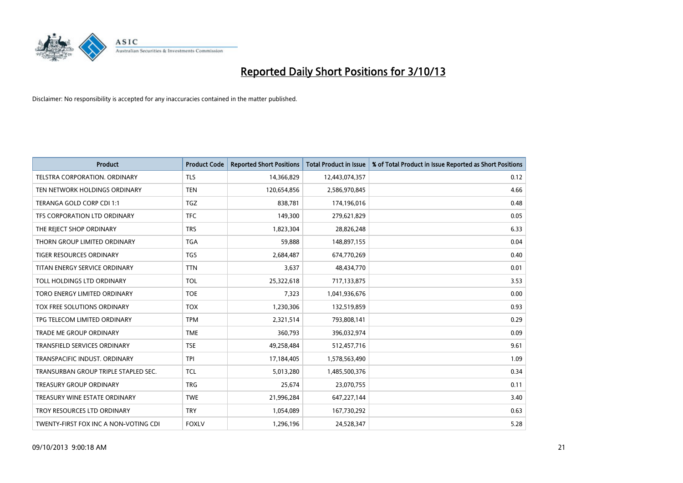

| <b>Product</b>                        | <b>Product Code</b> | <b>Reported Short Positions</b> | <b>Total Product in Issue</b> | % of Total Product in Issue Reported as Short Positions |
|---------------------------------------|---------------------|---------------------------------|-------------------------------|---------------------------------------------------------|
| <b>TELSTRA CORPORATION, ORDINARY</b>  | <b>TLS</b>          | 14,366,829                      | 12,443,074,357                | 0.12                                                    |
| TEN NETWORK HOLDINGS ORDINARY         | <b>TEN</b>          | 120,654,856                     | 2,586,970,845                 | 4.66                                                    |
| TERANGA GOLD CORP CDI 1:1             | <b>TGZ</b>          | 838,781                         | 174,196,016                   | 0.48                                                    |
| TFS CORPORATION LTD ORDINARY          | <b>TFC</b>          | 149,300                         | 279,621,829                   | 0.05                                                    |
| THE REJECT SHOP ORDINARY              | <b>TRS</b>          | 1,823,304                       | 28,826,248                    | 6.33                                                    |
| THORN GROUP LIMITED ORDINARY          | <b>TGA</b>          | 59,888                          | 148,897,155                   | 0.04                                                    |
| TIGER RESOURCES ORDINARY              | <b>TGS</b>          | 2,684,487                       | 674,770,269                   | 0.40                                                    |
| TITAN ENERGY SERVICE ORDINARY         | <b>TTN</b>          | 3,637                           | 48,434,770                    | 0.01                                                    |
| TOLL HOLDINGS LTD ORDINARY            | <b>TOL</b>          | 25,322,618                      | 717,133,875                   | 3.53                                                    |
| TORO ENERGY LIMITED ORDINARY          | <b>TOE</b>          | 7,323                           | 1,041,936,676                 | 0.00                                                    |
| TOX FREE SOLUTIONS ORDINARY           | <b>TOX</b>          | 1,230,306                       | 132,519,859                   | 0.93                                                    |
| TPG TELECOM LIMITED ORDINARY          | <b>TPM</b>          | 2,321,514                       | 793,808,141                   | 0.29                                                    |
| <b>TRADE ME GROUP ORDINARY</b>        | <b>TME</b>          | 360,793                         | 396,032,974                   | 0.09                                                    |
| <b>TRANSFIELD SERVICES ORDINARY</b>   | <b>TSE</b>          | 49,258,484                      | 512,457,716                   | 9.61                                                    |
| TRANSPACIFIC INDUST, ORDINARY         | <b>TPI</b>          | 17,184,405                      | 1,578,563,490                 | 1.09                                                    |
| TRANSURBAN GROUP TRIPLE STAPLED SEC.  | <b>TCL</b>          | 5,013,280                       | 1,485,500,376                 | 0.34                                                    |
| <b>TREASURY GROUP ORDINARY</b>        | <b>TRG</b>          | 25,674                          | 23,070,755                    | 0.11                                                    |
| TREASURY WINE ESTATE ORDINARY         | <b>TWE</b>          | 21,996,284                      | 647,227,144                   | 3.40                                                    |
| TROY RESOURCES LTD ORDINARY           | <b>TRY</b>          | 1,054,089                       | 167,730,292                   | 0.63                                                    |
| TWENTY-FIRST FOX INC A NON-VOTING CDI | <b>FOXLV</b>        | 1,296,196                       | 24,528,347                    | 5.28                                                    |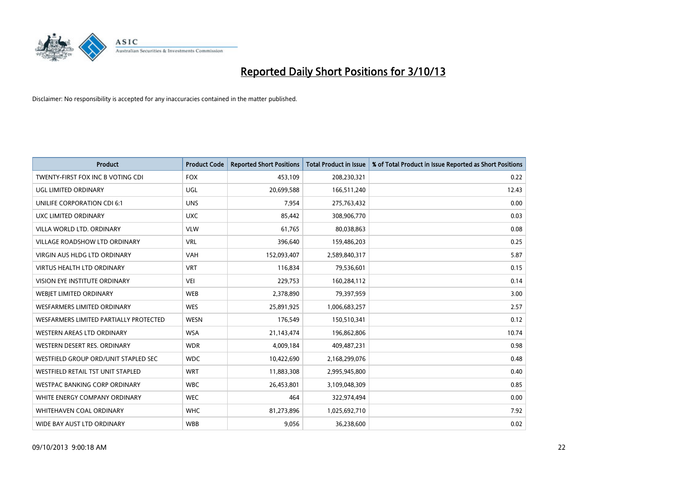

| <b>Product</b>                         | <b>Product Code</b> | <b>Reported Short Positions</b> | <b>Total Product in Issue</b> | % of Total Product in Issue Reported as Short Positions |
|----------------------------------------|---------------------|---------------------------------|-------------------------------|---------------------------------------------------------|
| TWENTY-FIRST FOX INC B VOTING CDI      | <b>FOX</b>          | 453,109                         | 208,230,321                   | 0.22                                                    |
| UGL LIMITED ORDINARY                   | <b>UGL</b>          | 20,699,588                      | 166,511,240                   | 12.43                                                   |
| UNILIFE CORPORATION CDI 6:1            | <b>UNS</b>          | 7,954                           | 275,763,432                   | 0.00                                                    |
| UXC LIMITED ORDINARY                   | <b>UXC</b>          | 85,442                          | 308,906,770                   | 0.03                                                    |
| VILLA WORLD LTD, ORDINARY              | <b>VLW</b>          | 61,765                          | 80,038,863                    | 0.08                                                    |
| <b>VILLAGE ROADSHOW LTD ORDINARY</b>   | <b>VRL</b>          | 396,640                         | 159,486,203                   | 0.25                                                    |
| VIRGIN AUS HLDG LTD ORDINARY           | <b>VAH</b>          | 152,093,407                     | 2,589,840,317                 | 5.87                                                    |
| <b>VIRTUS HEALTH LTD ORDINARY</b>      | <b>VRT</b>          | 116,834                         | 79,536,601                    | 0.15                                                    |
| VISION EYE INSTITUTE ORDINARY          | <b>VEI</b>          | 229,753                         | 160,284,112                   | 0.14                                                    |
| WEBJET LIMITED ORDINARY                | <b>WEB</b>          | 2,378,890                       | 79,397,959                    | 3.00                                                    |
| WESFARMERS LIMITED ORDINARY            | <b>WES</b>          | 25,891,925                      | 1,006,683,257                 | 2.57                                                    |
| WESFARMERS LIMITED PARTIALLY PROTECTED | <b>WESN</b>         | 176,549                         | 150,510,341                   | 0.12                                                    |
| WESTERN AREAS LTD ORDINARY             | <b>WSA</b>          | 21,143,474                      | 196,862,806                   | 10.74                                                   |
| WESTERN DESERT RES. ORDINARY           | <b>WDR</b>          | 4,009,184                       | 409,487,231                   | 0.98                                                    |
| WESTFIELD GROUP ORD/UNIT STAPLED SEC   | <b>WDC</b>          | 10,422,690                      | 2,168,299,076                 | 0.48                                                    |
| WESTFIELD RETAIL TST UNIT STAPLED      | <b>WRT</b>          | 11,883,308                      | 2,995,945,800                 | 0.40                                                    |
| <b>WESTPAC BANKING CORP ORDINARY</b>   | <b>WBC</b>          | 26,453,801                      | 3,109,048,309                 | 0.85                                                    |
| WHITE ENERGY COMPANY ORDINARY          | <b>WEC</b>          | 464                             | 322,974,494                   | 0.00                                                    |
| WHITEHAVEN COAL ORDINARY               | <b>WHC</b>          | 81,273,896                      | 1,025,692,710                 | 7.92                                                    |
| WIDE BAY AUST LTD ORDINARY             | <b>WBB</b>          | 9,056                           | 36,238,600                    | 0.02                                                    |